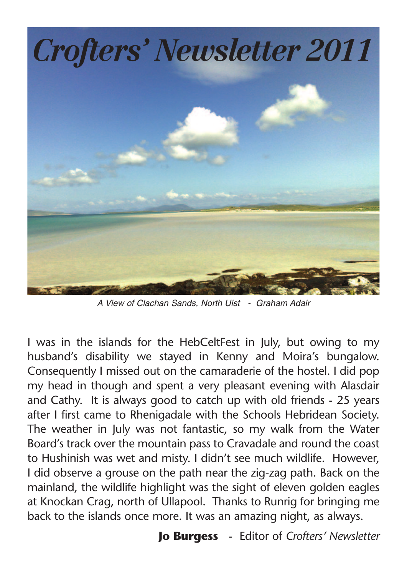

*A View of Clachan Sands, North Uist - Graham Adair*

I was in the islands for the HebCeltFest in July, but owing to my husband's disability we stayed in Kenny and Moira's bungalow. Consequently I missed out on the camaraderie of the hostel. I did pop my head in though and spent a very pleasant evening with Alasdair and Cathy. It is always good to catch up with old friends - 25 years after I first came to Rhenigadale with the Schools Hebridean Society. The weather in July was not fantastic, so my walk from the Water Board's track over the mountain pass to Cravadale and round the coast to Hushinish was wet and misty. I didn't see much wildlife. However, I did observe a grouse on the path near the zig-zag path. Back on the mainland, the wildlife highlight was the sight of eleven golden eagles at Knockan Crag, north of Ullapool. Thanks to Runrig for bringing me back to the islands once more. It was an amazing night, as always.

**Jo Burgess** - Editor of *Crofters' Newsletter*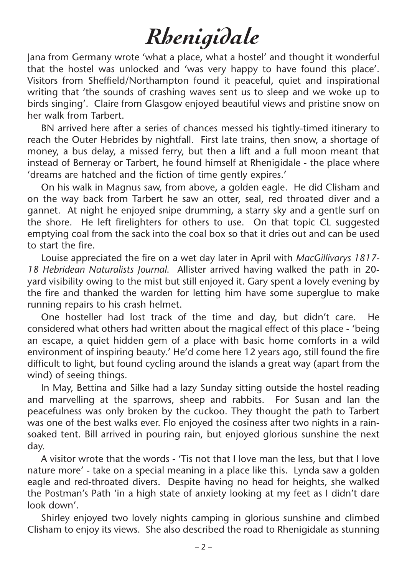## *Rhenigidale*

Jana from Germany wrote 'what a place, what a hostel' and thought it wonderful that the hostel was unlocked and 'was very happy to have found this place'. Visitors from Sheffield/Northampton found it peaceful, quiet and inspirational writing that 'the sounds of crashing waves sent us to sleep and we woke up to birds singing'. Claire from Glasgow enjoyed beautiful views and pristine snow on her walk from Tarbert.

BN arrived here after a series of chances messed his tightly-timed itinerary to reach the Outer Hebrides by nightfall. First late trains, then snow, a shortage of money, a bus delay, a missed ferry, but then a lift and a full moon meant that instead of Berneray or Tarbert, he found himself at Rhenigidale - the place where 'dreams are hatched and the fiction of time gently expires.'

On his walk in Magnus saw, from above, a golden eagle. He did Clisham and on the way back from Tarbert he saw an otter, seal, red throated diver and a gannet. At night he enjoyed snipe drumming, a starry sky and a gentle surf on the shore. He left firelighters for others to use. On that topic CL suggested emptying coal from the sack into the coal box so that it dries out and can be used to start the fire.

Louise appreciated the fire on a wet day later in April with *MacGillivarys 1817- 18 Hebridean Naturalists Journal*. Allister arrived having walked the path in 20 yard visibility owing to the mist but still enjoyed it. Gary spent a lovely evening by the fire and thanked the warden for letting him have some superglue to make running repairs to his crash helmet.

One hosteller had lost track of the time and day, but didn't care. He considered what others had written about the magical effect of this place - 'being an escape, a quiet hidden gem of a place with basic home comforts in a wild environment of inspiring beauty.' He'd come here 12 years ago, still found the fire difficult to light, but found cycling around the islands a great way (apart from the wind) of seeing things.

In May, Bettina and Silke had a lazy Sunday sitting outside the hostel reading and marvelling at the sparrows, sheep and rabbits. For Susan and Ian the peacefulness was only broken by the cuckoo. They thought the path to Tarbert was one of the best walks ever. Flo enjoyed the cosiness after two nights in a rainsoaked tent. Bill arrived in pouring rain, but enjoyed glorious sunshine the next day.

A visitor wrote that the words - 'Tis not that I love man the less, but that I love nature more' - take on a special meaning in a place like this. Lynda saw a golden eagle and red-throated divers. Despite having no head for heights, she walked the Postman's Path 'in a high state of anxiety looking at my feet as I didn't dare look down'.

Shirley enjoyed two lovely nights camping in glorious sunshine and climbed Clisham to enjoy its views. She also described the road to Rhenigidale as stunning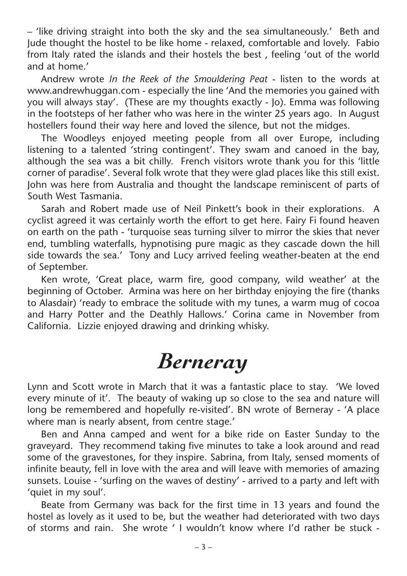– 'like driving straight into both the sky and the sea simultaneously.' Beth and Jude thought the hostel to be like home - relaxed, comfortable and lovely. Fabio from Italy rated the islands and their hostels the best , feeling 'out of the world and at home.'

Andrew wrote *In the Reek of the Smouldering Peat* - listen to the words at www.andrewhuggan.com - especially the line 'And the memories you gained with you will always stay'. (These are my thoughts exactly - Jo). Emma was following in the footsteps of her father who was here in the winter 25 years ago. In August hostellers found their way here and loved the silence, but not the midges.

The Woodleys enjoyed meeting people from all over Europe, including listening to a talented 'string contingent'. They swam and canoed in the bay, although the sea was a bit chilly. French visitors wrote thank you for this 'little corner of paradise'. Several folk wrote that they were glad places like this still exist. John was here from Australia and thought the landscape reminiscent of parts of South West Tasmania.

Sarah and Robert made use of Neil Pinkett's book in their explorations. A cyclist agreed it was certainly worth the effort to get here. Fairy Fi found heaven on earth on the path - 'turquoise seas turning silver to mirror the skies that never end, tumbling waterfalls, hypnotising pure magic as they cascade down the hill side towards the sea.' Tony and Lucy arrived feeling weather-beaten at the end of September.

Ken wrote, 'Great place, warm fire, good company, wild weather' at the beginning of October. Armina was here on her birthday enjoying the fire (thanks to Alasdair) 'ready to embrace the solitude with my tunes, a warm mug of cocoa and Harry Potter and the Deathly Hallows.' Corina came in November from California. Lizzie enjoyed drawing and drinking whisky.

## *Berneray*

Lynn and Scott wrote in March that it was a fantastic place to stay. 'We loved every minute of it'. The beauty of waking up so close to the sea and nature will long be remembered and hopefully re-visited'. BN wrote of Berneray - 'A place where man is nearly absent, from centre stage.'

Ben and Anna camped and went for a bike ride on Easter Sunday to the graveyard. They recommend taking five minutes to take a look around and read some of the gravestones, for they inspire. Sabrina, from Italy, sensed moments of infinite beauty, fell in love with the area and will leave with memories of amazing sunsets. Louise - 'surfing on the waves of destiny' - arrived to a party and left with 'quiet in my soul'.

Beate from Germany was back for the first time in 13 years and found the hostel as lovely as it used to be, but the weather had deteriorated with two days of storms and rain. She wrote ' I wouldn't know where I'd rather be stuck -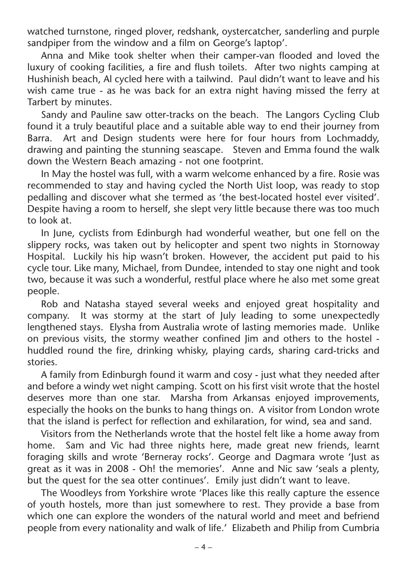watched turnstone, ringed plover, redshank, oystercatcher, sanderling and purple sandpiper from the window and a film on George's laptop'.

Anna and Mike took shelter when their camper-van flooded and loved the luxury of cooking facilities, a fire and flush toilets. After two nights camping at Hushinish beach, Al cycled here with a tailwind. Paul didn't want to leave and his wish came true - as he was back for an extra night having missed the ferry at Tarbert by minutes.

Sandy and Pauline saw otter-tracks on the beach. The Langors Cycling Club found it a truly beautiful place and a suitable able way to end their journey from Barra. Art and Design students were here for four hours from Lochmaddy, drawing and painting the stunning seascape. Steven and Emma found the walk down the Western Beach amazing - not one footprint.

In May the hostel was full, with a warm welcome enhanced by a fire. Rosie was recommended to stay and having cycled the North Uist loop, was ready to stop pedalling and discover what she termed as 'the best-located hostel ever visited'. Despite having a room to herself, she slept very little because there was too much to look at.

In June, cyclists from Edinburgh had wonderful weather, but one fell on the slippery rocks, was taken out by helicopter and spent two nights in Stornoway Hospital. Luckily his hip wasn't broken. However, the accident put paid to his cycle tour. Like many, Michael, from Dundee, intended to stay one night and took two, because it was such a wonderful, restful place where he also met some great people.

Rob and Natasha stayed several weeks and enjoyed great hospitality and company. It was stormy at the start of July leading to some unexpectedly lengthened stays. Elysha from Australia wrote of lasting memories made. Unlike on previous visits, the stormy weather confined Jim and others to the hostel huddled round the fire, drinking whisky, playing cards, sharing card-tricks and stories.

A family from Edinburgh found it warm and cosy - just what they needed after and before a windy wet night camping. Scott on his first visit wrote that the hostel deserves more than one star. Marsha from Arkansas enjoyed improvements, especially the hooks on the bunks to hang things on. A visitor from London wrote that the island is perfect for reflection and exhilaration, for wind, sea and sand.

Visitors from the Netherlands wrote that the hostel felt like a home away from home. Sam and Vic had three nights here, made great new friends, learnt foraging skills and wrote 'Berneray rocks'. George and Dagmara wrote 'Just as great as it was in 2008 - Oh! the memories'. Anne and Nic saw 'seals a plenty, but the quest for the sea otter continues'. Emily just didn't want to leave.

The Woodleys from Yorkshire wrote 'Places like this really capture the essence of youth hostels, more than just somewhere to rest. They provide a base from which one can explore the wonders of the natural world and meet and befriend people from every nationality and walk of life.' Elizabeth and Philip from Cumbria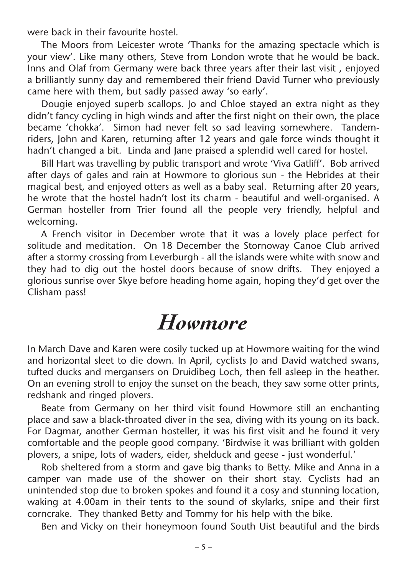were back in their favourite hostel.

The Moors from Leicester wrote 'Thanks for the amazing spectacle which is your view'. Like many others, Steve from London wrote that he would be back. Inns and Olaf from Germany were back three years after their last visit , enjoyed a brilliantly sunny day and remembered their friend David Turner who previously came here with them, but sadly passed away 'so early'.

Dougie enjoyed superb scallops. Jo and Chloe stayed an extra night as they didn't fancy cycling in high winds and after the first night on their own, the place became 'chokka'. Simon had never felt so sad leaving somewhere. Tandemriders, John and Karen, returning after 12 years and gale force winds thought it hadn't changed a bit. Linda and Jane praised a splendid well cared for hostel.

Bill Hart was travelling by public transport and wrote 'Viva Gatliff'. Bob arrived after days of gales and rain at Howmore to glorious sun - the Hebrides at their magical best, and enjoyed otters as well as a baby seal. Returning after 20 years, he wrote that the hostel hadn't lost its charm - beautiful and well-organised. A German hosteller from Trier found all the people very friendly, helpful and welcoming.

A French visitor in December wrote that it was a lovely place perfect for solitude and meditation. On 18 December the Stornoway Canoe Club arrived after a stormy crossing from Leverburgh - all the islands were white with snow and they had to dig out the hostel doors because of snow drifts. They enjoyed a glorious sunrise over Skye before heading home again, hoping they'd get over the Clisham pass!

## *Howmore*

In March Dave and Karen were cosily tucked up at Howmore waiting for the wind and horizontal sleet to die down. In April, cyclists Jo and David watched swans, tufted ducks and mergansers on Druidibeg Loch, then fell asleep in the heather. On an evening stroll to enjoy the sunset on the beach, they saw some otter prints, redshank and ringed plovers.

Beate from Germany on her third visit found Howmore still an enchanting place and saw a black-throated diver in the sea, diving with its young on its back. For Dagmar, another German hosteller, it was his first visit and he found it very comfortable and the people good company. 'Birdwise it was brilliant with golden plovers, a snipe, lots of waders, eider, shelduck and geese - just wonderful.'

Rob sheltered from a storm and gave big thanks to Betty. Mike and Anna in a camper van made use of the shower on their short stay. Cyclists had an unintended stop due to broken spokes and found it a cosy and stunning location, waking at 4.00am in their tents to the sound of skylarks, snipe and their first corncrake. They thanked Betty and Tommy for his help with the bike.

Ben and Vicky on their honeymoon found South Uist beautiful and the birds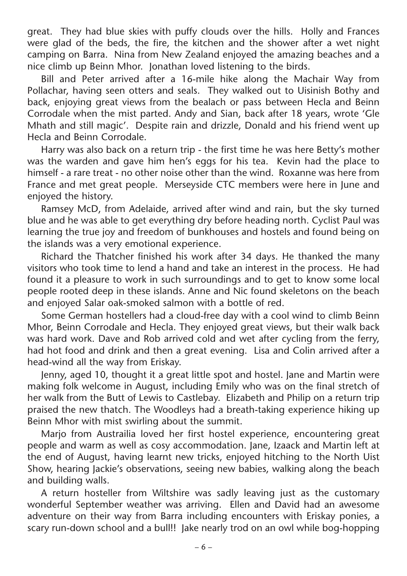great. They had blue skies with puffy clouds over the hills. Holly and Frances were glad of the beds, the fire, the kitchen and the shower after a wet night camping on Barra. Nina from New Zealand enjoyed the amazing beaches and a nice climb up Beinn Mhor. Jonathan loved listening to the birds.

Bill and Peter arrived after a 16-mile hike along the Machair Way from Pollachar, having seen otters and seals. They walked out to Uisinish Bothy and back, enjoying great views from the bealach or pass between Hecla and Beinn Corrodale when the mist parted. Andy and Sian, back after 18 years, wrote 'Gle Mhath and still magic'. Despite rain and drizzle, Donald and his friend went up Hecla and Beinn Corrodale.

Harry was also back on a return trip - the first time he was here Betty's mother was the warden and gave him hen's eggs for his tea. Kevin had the place to himself - a rare treat - no other noise other than the wind. Roxanne was here from France and met great people. Merseyside CTC members were here in June and enjoyed the history.

Ramsey McD, from Adelaide, arrived after wind and rain, but the sky turned blue and he was able to get everything dry before heading north. Cyclist Paul was learning the true joy and freedom of bunkhouses and hostels and found being on the islands was a very emotional experience.

Richard the Thatcher finished his work after 34 days. He thanked the many visitors who took time to lend a hand and take an interest in the process. He had found it a pleasure to work in such surroundings and to get to know some local people rooted deep in these islands. Anne and Nic found skeletons on the beach and enjoyed Salar oak-smoked salmon with a bottle of red.

Some German hostellers had a cloud-free day with a cool wind to climb Beinn Mhor, Beinn Corrodale and Hecla. They enjoyed great views, but their walk back was hard work. Dave and Rob arrived cold and wet after cycling from the ferry, had hot food and drink and then a great evening. Lisa and Colin arrived after a head-wind all the way from Eriskay.

Jenny, aged 10, thought it a great little spot and hostel. Jane and Martin were making folk welcome in August, including Emily who was on the final stretch of her walk from the Butt of Lewis to Castlebay. Elizabeth and Philip on a return trip praised the new thatch. The Woodleys had a breath-taking experience hiking up Beinn Mhor with mist swirling about the summit.

Marjo from Austrailia loved her first hostel experience, encountering great people and warm as well as cosy accommodation. Jane, Izaack and Martin left at the end of August, having learnt new tricks, enjoyed hitching to the North Uist Show, hearing Jackie's observations, seeing new babies, walking along the beach and building walls.

A return hosteller from Wiltshire was sadly leaving just as the customary wonderful September weather was arriving. Ellen and David had an awesome adventure on their way from Barra including encounters with Eriskay ponies, a scary run-down school and a bull!! Jake nearly trod on an owl while bog-hopping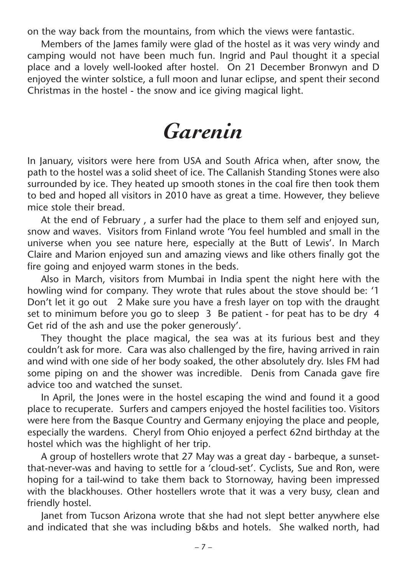on the way back from the mountains, from which the views were fantastic.

Members of the James family were glad of the hostel as it was very windy and camping would not have been much fun. Ingrid and Paul thought it a special place and a lovely well-looked after hostel. On 21 December Bronwyn and D enjoyed the winter solstice, a full moon and lunar eclipse, and spent their second Christmas in the hostel - the snow and ice giving magical light.

## *Garenin*

In January, visitors were here from USA and South Africa when, after snow, the path to the hostel was a solid sheet of ice. The Callanish Standing Stones were also surrounded by ice. They heated up smooth stones in the coal fire then took them to bed and hoped all visitors in 2010 have as great a time. However, they believe mice stole their bread.

At the end of February , a surfer had the place to them self and enjoyed sun, snow and waves. Visitors from Finland wrote 'You feel humbled and small in the universe when you see nature here, especially at the Butt of Lewis'. In March Claire and Marion enjoyed sun and amazing views and like others finally got the fire going and enjoyed warm stones in the beds.

Also in March, visitors from Mumbai in India spent the night here with the howling wind for company. They wrote that rules about the stove should be: '1 Don't let it go out 2 Make sure you have a fresh layer on top with the draught set to minimum before you go to sleep 3 Be patient - for peat has to be dry 4 Get rid of the ash and use the poker generously'.

They thought the place magical, the sea was at its furious best and they couldn't ask for more. Cara was also challenged by the fire, having arrived in rain and wind with one side of her body soaked, the other absolutely dry. Isles FM had some piping on and the shower was incredible. Denis from Canada gave fire advice too and watched the sunset.

In April, the Jones were in the hostel escaping the wind and found it a good place to recuperate. Surfers and campers enjoyed the hostel facilities too. Visitors were here from the Basque Country and Germany enjoying the place and people, especially the wardens. Cheryl from Ohio enjoyed a perfect 62nd birthday at the hostel which was the highlight of her trip.

A group of hostellers wrote that 27 May was a great day - barbeque, a sunsetthat-never-was and having to settle for a 'cloud-set'. Cyclists, Sue and Ron, were hoping for a tail-wind to take them back to Stornoway, having been impressed with the blackhouses. Other hostellers wrote that it was a very busy, clean and friendly hostel.

Janet from Tucson Arizona wrote that she had not slept better anywhere else and indicated that she was including b&bs and hotels. She walked north, had